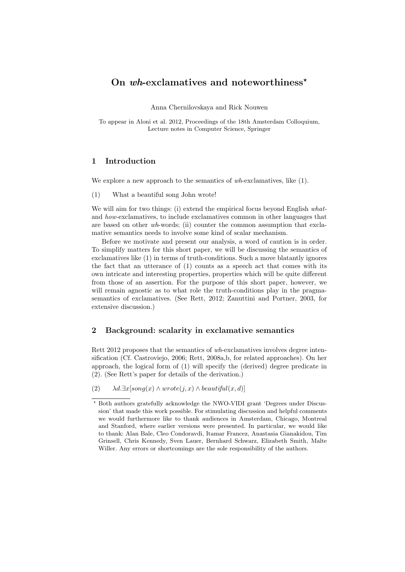## On wh-exclamatives and noteworthiness<sup>\*</sup>

Anna Chernilovskaya and Rick Nouwen

To appear in Aloni et al. 2012, Proceedings of the 18th Amsterdam Colloquium, Lecture notes in Computer Science, Springer

### 1 Introduction

We explore a new approach to the semantics of wh-exclamatives, like  $(1)$ .

(1) What a beautiful song John wrote!

We will aim for two things: (i) extend the empirical focus beyond English whatand how-exclamatives, to include exclamatives common in other languages that are based on other wh-words; (ii) counter the common assumption that exclamative semantics needs to involve some kind of scalar mechanism.

Before we motivate and present our analysis, a word of caution is in order. To simplify matters for this short paper, we will be discussing the semantics of exclamatives like (1) in terms of truth-conditions. Such a move blatantly ignores the fact that an utterance of (1) counts as a speech act that comes with its own intricate and interesting properties, properties which will be quite different from those of an assertion. For the purpose of this short paper, however, we will remain agnostic as to what role the truth-conditions play in the pragmasemantics of exclamatives. (See Rett, 2012; Zanuttini and Portner, 2003, for extensive discussion.)

## 2 Background: scalarity in exclamative semantics

Rett 2012 proposes that the semantics of wh-exclamatives involves degree intensification (Cf. Castroviejo, 2006; Rett, 2008a,b, for related approaches). On her approach, the logical form of (1) will specify the (derived) degree predicate in (2). (See Rett's paper for details of the derivation.)

(2)  $\lambda d.\exists x[song(x) \land wrote(j, x) \land beautiful(x, d)]$ 

<sup>?</sup> Both authors gratefully acknowledge the NWO-VIDI grant 'Degrees under Discussion' that made this work possible. For stimulating discussion and helpful comments we would furthermore like to thank audiences in Amsterdam, Chicago, Montreal and Stanford, where earlier versions were presented. In particular, we would like to thank: Alan Bale, Cleo Condoravdi, Itamar Francez, Anastasia Gianakidou, Tim Grinsell, Chris Kennedy, Sven Lauer, Bernhard Schwarz, Elizabeth Smith, Malte Willer. Any errors or shortcomings are the sole responsibility of the authors.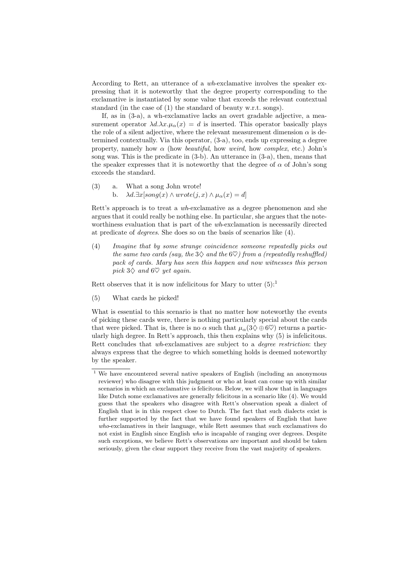According to Rett, an utterance of a wh-exclamative involves the speaker expressing that it is noteworthy that the degree property corresponding to the exclamative is instantiated by some value that exceeds the relevant contextual standard (in the case of (1) the standard of beauty w.r.t. songs).

If, as in (3-a), a wh-exclamative lacks an overt gradable adjective, a measurement operator  $\lambda d.\lambda x.\mu_{\alpha}(x) = d$  is inserted. This operator basically plays the role of a silent adjective, where the relevant measurement dimension  $\alpha$  is determined contextually. Via this operator, (3-a), too, ends up expressing a degree property, namely how  $\alpha$  (how *beautiful*, how *weird*, how *complex*, etc.) John's song was. This is the predicate in (3-b). An utterance in (3-a), then, means that the speaker expresses that it is noteworthy that the degree of  $\alpha$  of John's song exceeds the standard.

(3) a. What a song John wrote! b.  $\lambda d.\exists x[song(x) \wedge wrote(j, x) \wedge \mu_\alpha(x) = d]$ 

Rett's approach is to treat a wh-exclamative as a degree phenomenon and she argues that it could really be nothing else. In particular, she argues that the noteworthiness evaluation that is part of the *wh*-exclamation is necessarily directed at predicate of degrees. She does so on the basis of scenarios like (4).

(4) Imagine that by some strange coincidence someone repeatedly picks out the same two cards (say, the  $3\diamondsuit$  and the  $6\diamondsuit$ ) from a (repeatedly reshuffled) pack of cards. Mary has seen this happen and now witnesses this person pick  $3\diamondsuit$  and  $6\diamondsuit$  yet again.

Rett observes that it is now infelicitous for Mary to utter  $(5)$ :

(5) What cards he picked!

What is essential to this scenario is that no matter how noteworthy the events of picking these cards were, there is nothing particularly special about the cards that were picked. That is, there is no  $\alpha$  such that  $\mu_{\alpha}(3\diamondsuit \oplus 6\heartsuit)$  returns a particularly high degree. In Rett's approach, this then explains why (5) is infelicitous. Rett concludes that wh-exclamatives are subject to a *degree restriction*: they always express that the degree to which something holds is deemed noteworthy by the speaker.

 $\frac{1}{1}$  We have encountered several native speakers of English (including an anonymous reviewer) who disagree with this judgment or who at least can come up with similar scenarios in which an exclamative is felicitous. Below, we will show that in languages like Dutch some exclamatives are generally felicitous in a scenario like (4). We would guess that the speakers who disagree with Rett's observation speak a dialect of English that is in this respect close to Dutch. The fact that such dialects exist is further supported by the fact that we have found speakers of English that have who-exclamatives in their language, while Rett assumes that such exclamatives do not exist in English since English who is incapable of ranging over degrees. Despite such exceptions, we believe Rett's observations are important and should be taken seriously, given the clear support they receive from the vast majority of speakers.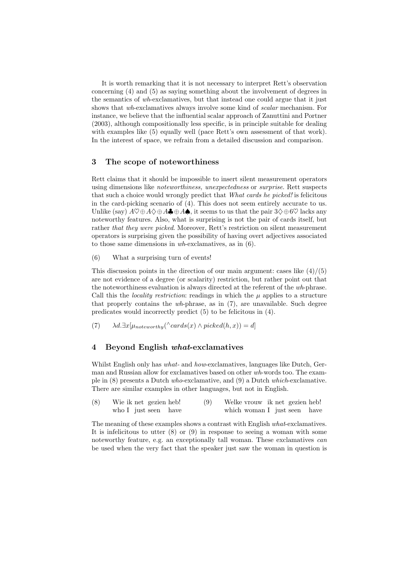It is worth remarking that it is not necessary to interpret Rett's observation concerning (4) and (5) as saying something about the involvement of degrees in the semantics of wh-exclamatives, but that instead one could argue that it just shows that wh-exclamatives always involve some kind of scalar mechanism. For instance, we believe that the influential scalar approach of Zanuttini and Portner (2003), although compositionally less specific, is in principle suitable for dealing with examples like  $(5)$  equally well (pace Rett's own assessment of that work). In the interest of space, we refrain from a detailed discussion and comparison.

## 3 The scope of noteworthiness

Rett claims that it should be impossible to insert silent measurement operators using dimensions like *noteworthiness*, unexpectedness or *surprise*. Rett suspects that such a choice would wrongly predict that What cards he picked! is felicitous in the card-picking scenario of (4). This does not seem entirely accurate to us. Unlike (say)  $A \heartsuit \oplus A \diamondsuit \oplus A \spadesuit \oplus A \spadesuit$ , it seems to us that the pair  $3\diamondsuit \oplus 6\heartsuit$  lacks any noteworthy features. Also, what is surprising is not the pair of cards itself, but rather that they were picked. Moreover, Rett's restriction on silent measurement operators is surprising given the possibility of having overt adjectives associated to those same dimensions in wh-exclamatives, as in (6).

(6) What a surprising turn of events!

This discussion points in the direction of our main argument: cases like  $(4)/(5)$ are not evidence of a degree (or scalarity) restriction, but rather point out that the noteworthiness evaluation is always directed at the referent of the wh-phrase. Call this the *locality restriction*: readings in which the  $\mu$  applies to a structure that properly contains the wh-phrase, as in (7), are unavailable. Such degree predicates would incorrectly predict (5) to be felicitous in (4).

(7)  $\lambda d. \exists x [\mu_{noteworthy}(\land cards(x) \land picked(h, x))] = d]$ 

## 4 Beyond English what-exclamatives

Whilst English only has *what*- and *how*-exclamatives, languages like Dutch, German and Russian allow for exclamatives based on other wh-words too. The example in (8) presents a Dutch who-exclamative, and (9) a Dutch which-exclamative. There are similar examples in other languages, but not in English.

| (8) | Wie ik net gezien heb! |  | (9) | Welke vrouw ik net gezien heb! |  |  |  |
|-----|------------------------|--|-----|--------------------------------|--|--|--|
|     | who I just seen have   |  |     | which woman I just seen have   |  |  |  |

The meaning of these examples shows a contrast with English what-exclamatives. It is infelicitous to utter  $(8)$  or  $(9)$  in response to seeing a woman with some noteworthy feature, e.g. an exceptionally tall woman. These exclamatives can be used when the very fact that the speaker just saw the woman in question is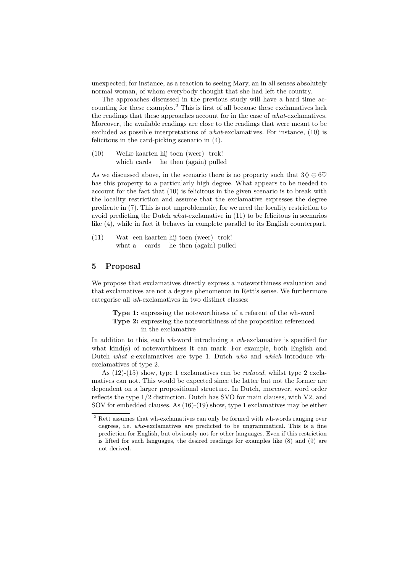unexpected; for instance, as a reaction to seeing Mary, an in all senses absolutely normal woman, of whom everybody thought that she had left the country.

The approaches discussed in the previous study will have a hard time accounting for these examples.<sup>2</sup> This is first of all because these exclamatives lack the readings that these approaches account for in the case of what-exclamatives. Moreover, the available readings are close to the readings that were meant to be excluded as possible interpretations of what-exclamatives. For instance, (10) is felicitous in the card-picking scenario in (4).

(10) Welke kaarten hij toen (weer) trok! which cards he then (again) pulled

As we discussed above, in the scenario there is no property such that  $3\diamondsuit \oplus 6\heartsuit$ has this property to a particularly high degree. What appears to be needed to account for the fact that (10) is felicitous in the given scenario is to break with the locality restriction and assume that the exclamative expresses the degree predicate in (7). This is not unproblematic, for we need the locality restriction to avoid predicting the Dutch what-exclamative in (11) to be felicitous in scenarios like (4), while in fact it behaves in complete parallel to its English counterpart.

(11) Wat een kaarten hij toen (weer) trok! what a cards he then (again) pulled

## 5 Proposal

We propose that exclamatives directly express a noteworthiness evaluation and that exclamatives are not a degree phenomenon in Rett's sense. We furthermore categorise all wh-exclamatives in two distinct classes:

Type 1: expressing the noteworthiness of a referent of the wh-word Type 2: expressing the noteworthiness of the proposition referenced in the exclamative

In addition to this, each wh-word introducing a wh-exclamative is specified for what  $\text{kind}(s)$  of noteworthiness it can mark. For example, both English and Dutch what a-exclamatives are type 1. Dutch who and which introduce whexclamatives of type 2.

As (12)-(15) show, type 1 exclamatives can be reduced, whilst type 2 exclamatives can not. This would be expected since the latter but not the former are dependent on a larger propositional structure. In Dutch, moreover, word order reflects the type 1/2 distinction. Dutch has SVO for main clauses, with V2, and SOV for embedded clauses. As (16)-(19) show, type 1 exclamatives may be either

<sup>&</sup>lt;sup>2</sup> Rett assumes that wh-exclamatives can only be formed with wh-words ranging over degrees, i.e. who-exclamatives are predicted to be ungrammatical. This is a fine prediction for English, but obviously not for other languages. Even if this restriction is lifted for such languages, the desired readings for examples like (8) and (9) are not derived.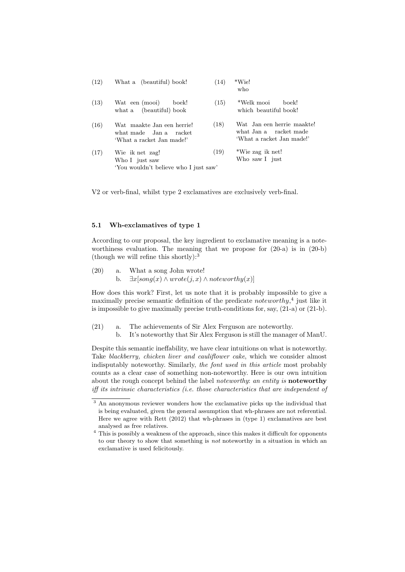| (12) | What a (beautiful) book!                                                          | (14) | $*Wie!$<br>who                                                                    |  |  |  |  |
|------|-----------------------------------------------------------------------------------|------|-----------------------------------------------------------------------------------|--|--|--|--|
| (13) | Wat een (mooi)<br>boek!<br>what a (beautiful) book                                | (15) | *Welk mooi<br>boek!<br>which beautiful book!                                      |  |  |  |  |
| (16) | Wat maakte Jan een herrie!<br>what made Jan a racket<br>'What a racket Jan made!' | (18) | Wat Jan een herrie maakte!<br>what Jan a racket made<br>'What a racket Jan made!' |  |  |  |  |
| (17) | Wie ik net zag!<br>Who I just saw<br>'You wouldn't believe who I just saw'        | (19) | *Wie zag ik net!<br>Who saw I just                                                |  |  |  |  |

V2 or verb-final, whilst type 2 exclamatives are exclusively verb-final.

#### 5.1 Wh-exclamatives of type 1

According to our proposal, the key ingredient to exclamative meaning is a noteworthiness evaluation. The meaning that we propose for (20-a) is in (20-b) (though we will refine this shortly):<sup>3</sup>

(20) a. What a song John wrote! b.  $\exists x[song(x) \land wrote(j, x) \land noteworthy(x)]$ 

How does this work? First, let us note that it is probably impossible to give a maximally precise semantic definition of the predicate *noteworthy*,<sup>4</sup> just like it is impossible to give maximally precise truth-conditions for, say,  $(21-a)$  or  $(21-b)$ .

- (21) a. The achievements of Sir Alex Ferguson are noteworthy.
	- b. It's noteworthy that Sir Alex Ferguson is still the manager of ManU.

Despite this semantic ineffability, we have clear intuitions on what is noteworthy. Take blackberry, chicken liver and cauliflower cake, which we consider almost indisputably noteworthy. Similarly, the font used in this article most probably counts as a clear case of something non-noteworthy. Here is our own intuition about the rough concept behind the label *noteworthy*: an entity is **noteworthy** iff its intrinsic characteristics (i.e. those characteristics that are independent of

 $\frac{3}{3}$  An anonymous reviewer wonders how the exclamative picks up the individual that is being evaluated, given the general assumption that wh-phrases are not referential. Here we agree with Rett (2012) that wh-phrases in (type 1) exclamatives are best analysed as free relatives.

<sup>4</sup> This is possibly a weakness of the approach, since this makes it difficult for opponents to our theory to show that something is not noteworthy in a situation in which an exclamative is used felicitously.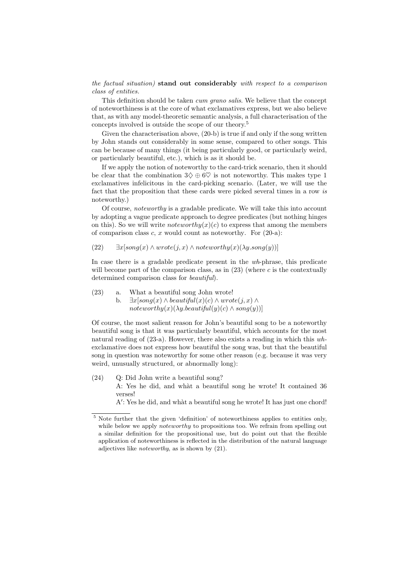the factual situation) stand out considerably with respect to a comparison class of entities.

This definition should be taken *cum grano salis*. We believe that the concept of noteworthiness is at the core of what exclamatives express, but we also believe that, as with any model-theoretic semantic analysis, a full characterisation of the concepts involved is outside the scope of our theory.<sup>5</sup>

Given the characterisation above, (20-b) is true if and only if the song written by John stands out considerably in some sense, compared to other songs. This can be because of many things (it being particularly good, or particularly weird, or particularly beautiful, etc.), which is as it should be.

If we apply the notion of noteworthy to the card-trick scenario, then it should be clear that the combination  $3\diamondsuit \oplus 6\heartsuit$  is not noteworthy. This makes type 1 exclamatives infelicitous in the card-picking scenario. (Later, we will use the fact that the proposition that these cards were picked several times in a row is noteworthy.)

Of course, noteworthy is a gradable predicate. We will take this into account by adopting a vague predicate approach to degree predicates (but nothing hinges on this). So we will write *noteworthy* $(x)(c)$  to express that among the members of comparison class  $c, x$  would count as noteworthy. For  $(20-a)$ :

(22)  $\exists x[song(x) \land wrote(j, x) \land noteworthy(x)(\lambda y.song(y))]$ 

In case there is a gradable predicate present in the wh-phrase, this predicate will become part of the comparison class, as in  $(23)$  (where c is the contextually determined comparison class for *beautiful*).

(23) a. What a beautiful song John wrote! b.  $\exists x[song(x) \land beautiful(x)(c) \land wrote(j, x) \land$ 

 $noteworthy(x)(\lambda y. be a utilful(y)(c) \wedge song(y))$ 

Of course, the most salient reason for John's beautiful song to be a noteworthy beautiful song is that it was particularly beautiful, which accounts for the most natural reading of (23-a). However, there also exists a reading in which this whexclamative does not express how beautiful the song was, but that the beautiful song in question was noteworthy for some other reason (e.g. because it was very weird, unusually structured, or abnormally long):

(24) Q: Did John write a beautiful song? A: Yes he did, and wh`at a beautiful song he wrote! It contained 36 verses! A': Yes he did, and what a beautiful song he wrote! It has just one chord!

<sup>&</sup>lt;sup>5</sup> Note further that the given 'definition' of noteworthiness applies to entities only, while below we apply *noteworthy* to propositions too. We refrain from spelling out

a similar definition for the propositional use, but do point out that the flexible application of noteworthiness is reflected in the distribution of the natural language adjectives like noteworthy, as is shown by (21).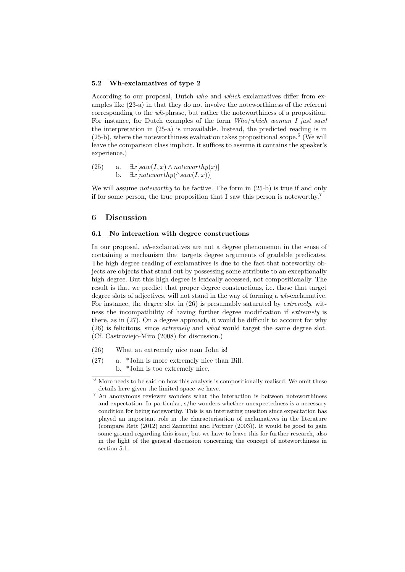#### 5.2 Wh-exclamatives of type 2

According to our proposal, Dutch who and which exclamatives differ from examples like (23-a) in that they do not involve the noteworthiness of the referent corresponding to the wh-phrase, but rather the noteworthiness of a proposition. For instance, for Dutch examples of the form  $Who/which$  woman I just saw! the interpretation in (25-a) is unavailable. Instead, the predicted reading is in  $(25-b)$ , where the noteworthiness evaluation takes propositional scope.<sup>6</sup> (We will leave the comparison class implicit. It suffices to assume it contains the speaker's experience.)

(25) a. 
$$
\exists x[saw(I, x) \land noteworthy(x)]
$$
  
b.  $\exists x[noteworthy(\land saw(I, x))]$ 

We will assume *noteworthy* to be factive. The form in (25-b) is true if and only if for some person, the true proposition that I saw this person is noteworthy.<sup>7</sup>

### 6 Discussion

#### 6.1 No interaction with degree constructions

In our proposal, wh-exclamatives are not a degree phenomenon in the sense of containing a mechanism that targets degree arguments of gradable predicates. The high degree reading of exclamatives is due to the fact that noteworthy objects are objects that stand out by possessing some attribute to an exceptionally high degree. But this high degree is lexically accessed, not compositionally. The result is that we predict that proper degree constructions, i.e. those that target degree slots of adjectives, will not stand in the way of forming a wh-exclamative. For instance, the degree slot in  $(26)$  is presumably saturated by *extremely*, witness the incompatibility of having further degree modification if extremely is there, as in (27). On a degree approach, it would be difficult to account for why (26) is felicitous, since extremely and what would target the same degree slot. (Cf. Castroviejo-Miro (2008) for discussion.)

- (26) What an extremely nice man John is!
- (27) a. \*John is more extremely nice than Bill. b. \*John is too extremely nice.

 $^6$  More needs to be said on how this analysis is compositionally realised. We omit these details here given the limited space we have.

<sup>&</sup>lt;sup>7</sup> An anonymous reviewer wonders what the interaction is between noteworthiness and expectation. In particular, s/he wonders whether unexpectedness is a necessary condition for being noteworthy. This is an interesting question since expectation has played an important role in the characterisation of exclamatives in the literature (compare Rett (2012) and Zanuttini and Portner (2003)). It would be good to gain some ground regarding this issue, but we have to leave this for further research, also in the light of the general discussion concerning the concept of noteworthiness in section 5.1.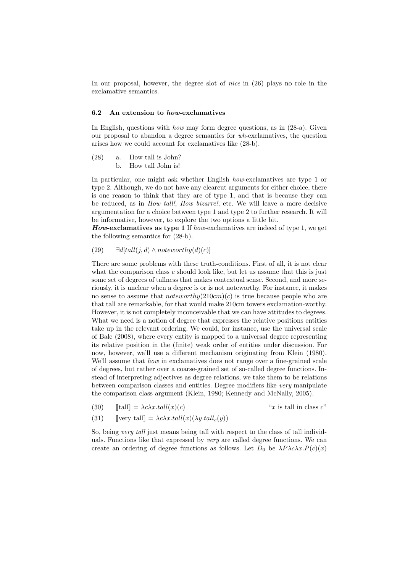In our proposal, however, the degree slot of nice in (26) plays no role in the exclamative semantics.

#### 6.2 An extension to how-exclamatives

In English, questions with how may form degree questions, as in (28-a). Given our proposal to abandon a degree semantics for wh-exclamatives, the question arises how we could account for exclamatives like (28-b).

(28) a. How tall is John? b. How tall John is!

In particular, one might ask whether English *how-exclamatives* are type 1 or type 2. Although, we do not have any clearcut arguments for either choice, there is one reason to think that they are of type 1, and that is because they can be reduced, as in *How tall!, How bizarre!*, etc. We will leave a more decisive argumentation for a choice between type 1 and type 2 to further research. It will be informative, however, to explore the two options a little bit.

How-exclamatives as type 1 If how-exclamatives are indeed of type 1, we get the following semantics for (28-b).

(29) 
$$
\exists d[tall(j,d) \land noteworthy(d)(c)]
$$

There are some problems with these truth-conditions. First of all, it is not clear what the comparison class  $c$  should look like, but let us assume that this is just some set of degrees of tallness that makes contextual sense. Second, and more seriously, it is unclear when a degree is or is not noteworthy. For instance, it makes no sense to assume that *noteworthy* $(210cm)(c)$  is true because people who are that tall are remarkable, for that would make 210cm towers exclamation-worthy. However, it is not completely inconceivable that we can have attitudes to degrees. What we need is a notion of degree that expresses the relative positions entities take up in the relevant ordering. We could, for instance, use the universal scale of Bale (2008), where every entity is mapped to a universal degree representing its relative position in the (finite) weak order of entities under discussion. For now, however, we'll use a different mechanism originating from Klein (1980). We'll assume that *how* in exclamatives does not range over a fine-grained scale of degrees, but rather over a coarse-grained set of so-called degree functions. Instead of interpreting adjectives as degree relations, we take them to be relations between comparison classes and entities. Degree modifiers like very manipulate the comparison class argument (Klein, 1980; Kennedy and McNally, 2005).

$$
(30) \qquad \text{[tall]} = \lambda c \lambda x. \text{tall}(x)(c)
$$

(30)  $[\text{tall}] = \lambda c \lambda x. \text{tall}(x)(c)$  "x is tall in class c"<br>(31)  $[\text{very tall}] = \lambda c \lambda x. \text{tall}(x)(\lambda y. \text{tall}_c(y))$  $\llbracket \text{very tall} \rrbracket = \lambda c \lambda x. \text{tall}(x) (\lambda y. \text{tall}_c(y))$ 

So, being very tall just means being tall with respect to the class of tall individuals. Functions like that expressed by *very* are called degree functions. We can create an ordering of degree functions as follows. Let  $D_0$  be  $\lambda P \lambda c \lambda x.P(c)(x)$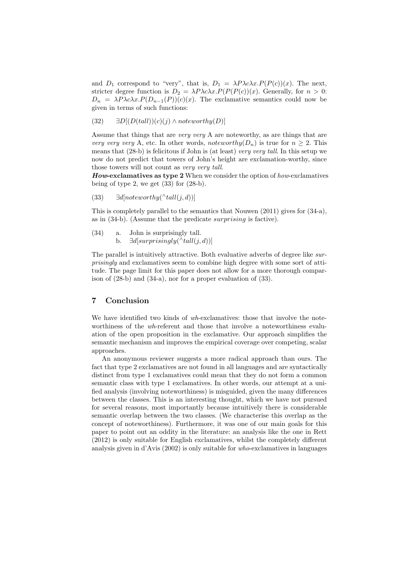and  $D_1$  correspond to "very", that is,  $D_1 = \lambda P \lambda c \lambda x.P(P(c))(x)$ . The next, stricter degree function is  $D_2 = \lambda P \lambda c \lambda x \cdot P(P(P(c))(x)$ . Generally, for  $n > 0$ :  $D_n = \lambda P \lambda c \lambda x \cdot P(D_{n-1}(P))(c)(x)$ . The exclamative semantics could now be given in terms of such functions:

$$
(32) \qquad \exists D[(D(tall))(c)(j) \land noteworthy(D)]
$$

Assume that things that are very very A are noteworthy, as are things that are very very very A, etc. In other words, noteworthy $(D_n)$  is true for  $n \geq 2$ . This means that  $(28-b)$  is felicitous if John is (at least) very very tall. In this setup we now do not predict that towers of John's height are exclamation-worthy, since those towers will not count as very very tall.

**How-exclamatives as type 2** When we consider the option of how-exclamatives being of type 2, we get (33) for (28-b).

$$
(33) \qquad \exists d[noteworthy(\land tall(j,d))]
$$

This is completely parallel to the semantics that Nouwen (2011) gives for (34-a), as in (34-b). (Assume that the predicate surprising is factive).

- (34) a. John is surprisingly tall.
	- b.  $\exists d[surprisingly(\land tall(j,d))]$

The parallel is intuitively attractive. Both evaluative adverbs of degree like surprisingly and exclamatives seem to combine high degree with some sort of attitude. The page limit for this paper does not allow for a more thorough comparison of (28-b) and (34-a), nor for a proper evaluation of (33).

## 7 Conclusion

We have identified two kinds of wh-exclamatives: those that involve the noteworthiness of the wh-referent and those that involve a noteworthiness evaluation of the open proposition in the exclamative. Our approach simplifies the semantic mechanism and improves the empirical coverage over competing, scalar approaches.

An anonymous reviewer suggests a more radical approach than ours. The fact that type 2 exclamatives are not found in all languages and are syntactically distinct from type 1 exclamatives could mean that they do not form a common semantic class with type 1 exclamatives. In other words, our attempt at a unified analysis (involving noteworthiness) is misguided, given the many differences between the classes. This is an interesting thought, which we have not pursued for several reasons, most importantly because intuitively there is considerable semantic overlap between the two classes. (We characterise this overlap as the concept of noteworthiness). Furthermore, it was one of our main goals for this paper to point out an oddity in the literature: an analysis like the one in Rett (2012) is only suitable for English exclamatives, whilst the completely different analysis given in d'Avis (2002) is only suitable for who-exclamatives in languages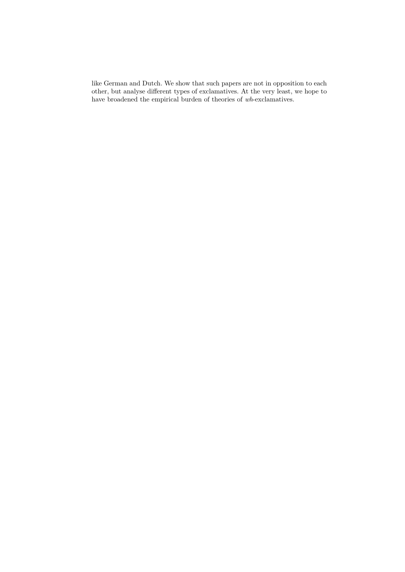like German and Dutch. We show that such papers are not in opposition to each other, but analyse different types of exclamatives. At the very least, we hope to have broadened the empirical burden of theories of  $\mathit{wh}\text{-exclamatives}.$